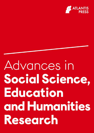

# Advances in Social Science, Education and Humanities Research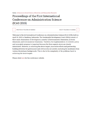Series: Advances in Social Science, Education and Humanities Research

# Proceedings of the First International **Conference on Administration Science** (ICAS 2019)

PREVIOUS VOLUME IN SERIES **NEXT VOLUME IN SERIES** 

Welcome to the 1st International Conference on Administration Science (ICAS 2019), held on April 30, 2019 in Bandung, Indonesia. The Sustainable Development Goals (SDGs) consist of three main dimensions of development, namely: 1) Environmental Dimension; 2) Social Dimension; and 3) Economical Dimension. Therefore, the implementation of a holistic policy and synergistic program is important because the three aspects above are closely interrelated. However, in achieving the above targets, innovative efforts and partnership building between the government and civil society are needed, including for academics from various disciplinary backgrounds. This is due to the complexity of the problems faced in achieving the above targets.

Please click here for the conference website.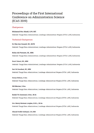# Proceedings of the First International **Conference on Administration Science** (ICAS 2019)

# Chairperson

Muhamad Nur Afandi, S.Pd. MT. Sekolah Tinggi Ilmu Administrasi, Lembaga Administrasi Negara (STIA LAN), Indonesia

# **Technical Chairperson**

Dr. Rini Ayu Susanti, SE., M.Pd Sekolah Tinggi Ilmu Administrasi, Lembaga Administrasi Negara (STIA LAN), Indonesia

Ricky Adi Putranto, SE., MM. Sekolah Tinggi Ilmu Administrasi, Lembaga Administrasi Negara (STIA LAN), Indonesia

Dewi Untari, SE., MM Sekolah Tinggi Ilmu Administrasi, Lembaga Administrasi Negara (STIA LAN), Indonesia

Sari Sri handani, SE., MM Sekolah Tinggi Ilmu Administrasi, Lembaga Administrasi Negara (STIA LAN), Indonesia

Dessy Deliana, S.Sos. Sekolah Tinggi Ilmu Administrasi, Lembaga Administrasi Negara (STIA LAN), Indonesia

Siti Mariam, S.Sos. Sekolah Tinggi Ilmu Administrasi, Lembaga Administrasi Negara (STIA LAN), Indonesia

Endah Tri Anomsari, S.Sos., M.Sc Sekolah Tinggi Ilmu Administrasi, Lembaga Administrasi Negara (STIA LAN), Indonesia

Drs. Henry Herman Loupias, H.H.L., M.Sn Sekolah Tinggi Ilmu Administrasi, Lembaga Administrasi Negara (STIA LAN), Indonesia

Ahmad Sodik Sudrajad, S.H. MH Sekolah Tinggi Ilmu Administrasi, Lembaga Administrasi Negara (STIA LAN), Indonesia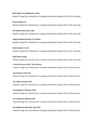# Fikri Aditva Tri Andikaputra, S.Kom

Sekolah Tinggi Ilmu Administrasi, Lembaga Administrasi Negara (STIA LAN), Indonesia

Penni Arlianti, S.E. Sekolah Tinggi Ilmu Administrasi, Lembaga Administrasi Negara (STIA LAN), Indonesia

Siti Athiyah Masruroh, A.Md. Sekolah Tinggi Ilmu Administrasi, Lembaga Administrasi Negara (STIA LAN), Indonesia

Anggi Syahadat Harahap, ST., M.Kom Sekolah Tinggi Ilmu Administrasi, Lembaga Administrasi Negara (STIA LAN), Indonesia

Fandi Ahmad, ST., MT Sekolah Tinggi Ilmu Administrasi, Lembaga Administrasi Negara (STIA LAN), Indonesia

**Opik Idham Taupik** Sekolah Tinggi Ilmu Administrasi, Lembaga Administrasi Negara (STIA LAN), Indonesia

Ir. Budi Setiawan, M.M.T. (Koordinator) Sekolah Tinggi Ilmu Administrasi, Lembaga Administrasi Negara (STIA LAN), Indonesia

Ono Taryono, S.Pd., M.A. Sekolah Tinggi Ilmu Administrasi, Lembaga Administrasi Negara (STIA LAN), Indonesia

Drs. Sabar Gunawan, M.A. Sekolah Tinggi Ilmu Administrasi, Lembaga Administrasi Negara (STIA LAN), Indonesia

Dr. Hendrikus T Gedeona., M.Si Sekolah Tinggi Ilmu Administrasi, Lembaga Administrasi Negara (STIA LAN), Indonesia

Drs. Wahyu Gia Uliantoro, MT. Sekolah Tinggi Ilmu Administrasi, Lembaga Administrasi Negara (STIA LAN), Indonesia

Siti Widharetno Mursalim, S.Ip., M.Si Sekolah Tinggi Ilmu Administrasi, Lembaga Administrasi Negara (STIA LAN), Indonesia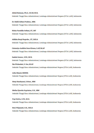# Abdul Rahman, Ph.D., S.K.M, M.Si.

Sekolah Tinggi Ilmu Administrasi, Lembaga Administrasi Negara (STIA LAN), Indonesia

Dr. Hafid Aditya Pradesa., MM. Sekolah Tinggi Ilmu Administrasi, Lembaga Administrasi Negara (STIA LAN), Indonesia

Nisha Faradilla Sofiani, ST., MT Sekolah Tinggi Ilmu Administrasi, Lembaga Administrasi Negara (STIA LAN), Indonesia

Adhika Bergi Nugroho., ST., M.B.A Sekolah Tinggi Ilmu Administrasi, Lembaga Administrasi Negara (STIA LAN), Indonesia

Cintantya Andhita Dara Kirana, S.AP, M.AP Sekolah Tinggi Ilmu Administrasi, Lembaga Administrasi Negara (STIA LAN), Indonesia

Saekul Anwar., S.Pd., M.Si. Sekolah Tinggi Ilmu Administrasi, Lembaga Administrasi Negara (STIA LAN), Indonesia

Ika Wulandari, S. Sos, M.AP. Sekolah Tinggi Ilmu Administrasi, Lembaga Administrasi Negara (STIA LAN), Indonesia

Lidia Maasir, MHRM. Sekolah Tinggi Ilmu Administrasi, Lembaga Administrasi Negara (STIA LAN), Indonesia

Heny Handayani, S.Hum., MM Sekolah Tinggi Ilmu Administrasi, Lembaga Administrasi Negara (STIA LAN), Indonesia

Metha Djuwita Supriatna, S.Si., MM Sekolah Tinggi Ilmu Administrasi, Lembaga Administrasi Negara (STIA LAN), Indonesia

Pepi Zulvia, S.Pd., M.Si. Sekolah Tinggi Ilmu Administrasi, Lembaga Administrasi Negara (STIA LAN), Indonesia

Reni Wijayanti, S.Si., M.B.A Sekolah Tinggi Ilmu Administrasi, Lembaga Administrasi Negara (STIA LAN), Indonesia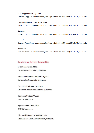## Rike Anggun Artisa, S.Ip., MPA

Sekolah Tinggi Ilmu Administrasi, Lembaga Administrasi Negara (STIA LAN), Indonesia

## Caesar Octoviandy Purba, S.Sos., MBA.

Sekolah Tinggi Ilmu Administrasi, Lembaga Administrasi Negara (STIA LAN), Indonesia

# **Jaenudin**

Sekolah Tinggi Ilmu Administrasi, Lembaga Administrasi Negara (STIA LAN), Indonesia

# **Harianto**

Sekolah Tinggi Ilmu Administrasi, Lembaga Administrasi Negara (STIA LAN), Indonesia

# **Koharudin**

Sekolah Tinggi Ilmu Administrasi, Lembaga Administrasi Negara (STIA LAN), Indonesia

# **Conference Review Committee**

# **Henry H Loupias, M.Sn**

Universitas Pasundan, Indonesia

# Assistant Professor Yanki Hartijasti

Universitas Indonesia, Indonesia

# Associate Professor Evan Lau

Universiti Malaysia Sarawak, Indonesia

# **Professor Su Dinh Thanh** JABES, Indonesia

# Nguyen Phuc Canh, Ph.D JABES, Indonesia

# Nhung Thi Hong Vu, MScBA, Ph.D Vietnamese-German University, Vietnam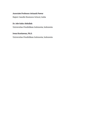# **Associate Professor Avinash Pawar**

Rajeev Gandhi Business School, India

# Dr. Ade Gafar Abdullah

Universitas Pendidikan Indonesia, Indonesia

# Iwan Kustiawan, Ph.D.

Universitas Pendidikan Indonesia, Indonesia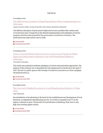## **DAFTAR ISI**

#### Proceedings Article

# The Effectivness Analysis of State Expenditure Policy Implementation in Indonesia

Gugun Geusan Akbar, Aceng Ulumudin, Ikeu Kania, Mulyanto Mulyanto

The deficient absorption of government budget has become a problem that continuously occurred every year. It impacted on the delayed implementation and realization of activity programs that have been planned by the government in institution of ministry. The government has made several rules in state...

Article details

**O** Download article (PDF)

#### Proceedings Article

Drama of Social Media Political Actors in Democracy Facebook Public Space and Democratic Practices in the 2019 Presidential Debate in Indonesia

Dwinarko Dwinarko

This study uses qualitative methods, paradigms of critical and postmodern approaches. The purpose of this research was to dismantle the text interpersonal on Facebook in the April 17, 2019. The text is a public space in the footsteps of creative in innovative as a form campaign the political actors in...

Article details

Download article (PDF)

## Proceedings Article

The Survival of Media Economy at Local Broadcasting Industry in West Java

Aep Wahyudin

Decentralization of broadcasting is the basis for the establishment and development of local television, as stipulated in Broadcasting Law No. 32 of 2002, in quantity local TV in the regions continues to grow. The growth of local television in Bandung, West Java is very high, thus inviting capital owners...

Article details Download article (PDF)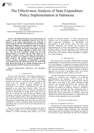1st International Conference on Administration Science (ICAS 2019)

# The Effectivness Analysis of State Expenditure Policy Implementation in Indonesia

Gugun Geusan Akbar\*, Aceng Ulumudin, Ikeu Kania

Department of Public Administration Universitas Garut Garut, Indonesia [\\*gugun.ga@fisip.uniga.ac.id,](mailto:gugun.ga@fisip.uniga.ac.id) [Aceng.u@fisip.uniga.ac.id,](mailto:Aceng.u@fisip.uniga.ac.id) [Ikeukania@fisip.uniga.ac.id](mailto:Ikeukania@fisip.uniga.ac.id) 

*Abstract***—The deficient absorption of government budget has become a problem that continuously occurred every year. It impacted on the delayed implementation and realization of activity programs that have been planned by the government in institution of ministry. The government has made several rules in state finances including its derivatives in order to encourage better budget absorption. The purpose of this study was to verify the effectiveness of budget absorption in KPPN Garut, West Java. This study used a qualitative method with case study approach theory by Van Horn and Van Meter. There are six measured variables in order to determine the effectiveness of budget absorption. The variables are standards and objectives, policy resources, and activities between organizations and executive activities, specifications of administrative, economic, social, political parts and enforcement trends. The result of this study showed that based on six variables mentioned above, the budget absorption in KPPN Garut has not been effective.** 

*Keywords—implementation; effectiveness; state expenditure; absorption* 

## I. INTRODUCTION

The low level of absorption of the budget in Indonesia is a phenomenon that occurs every year at both the Ministries / Institutions and at the Regional level [1]. Low budget absorption has become a recurring and massive problem that occurs every year, resulting in a slow realization of the implementation of activity programs launched by the government at the ministry of institutions [2,3]. This also happened at the Garut State Treasury Office. The slow absorption of the budget can be seen from the accumulation of requests for disbursement of budget funds at the end of the year. This is because the work unit does not disburse funds according to the period of withdrawal of funds per month and tries to pursue realization that is late in the beginning and midyear at the end of the year. The accumulation of requests for disbursement of budget funds at the end of the year can lead to vulnerability to errors in disbursing funds and imposing state expenditures that can result in state losses in financial and nonfinancial forms.

Since the issuance of the regulation package in the field of state finance, namely the Law of the Republic of Indonesia Number 17 of 2003 concerning State Finance, Law of the Mulyanto Mulyanto

Treasury Office in the Province or Regency Leve Garut, Indonesia ihsanmulyanto@gmail.com

Republic of Indonesia Number 1 of 2004 concerning State Treasury, Law of the Republic of Indonesia Number 15 of 2004 concerning Examination of Management and Responsibility of State Finance, there have been many derivative regulations that regulate the procedures for implementing state revenues and expenditures. However, the problems related to the slow absorption of the budget at the Garut State Treasury Service Office still cannot be overcome by this policy. This Analysis of State Expenditure or Regency Leve Garut, Indonesia.

## II. METHODOLOGY

This research uses a case study method. State-level policy implementation in Treasury Office in the Province or Regency Leve Garut Regency. To determine the program effectiveness, analyzed by the theory of public policy implementation by Van Meter and Van Horn [4]. Use researchers this theory because it uses a top-down approach. According to Sabatier, a top-down approach was the idea of government policy that focuses attention on whether the policy is effective or not [5].

To obtain information for this research, the informant was selected by observing the principles of conformity (appropriateness) and adequacy. The informants in the Regency of Leve Garut, the power of budget users. Primary data sources were used in the studies obtained through interviews and recorded observations, and secondary data sources were obtained through a review of documents. Basically, the analysis of qualitative research is intended to provide meaning confirming the data, interpreting data, or transforming data into other forms of narration. This led to findings that express propositions and scientific content that ultimately became the final conclusions. To validate the results of research using triangulation source and methods.

# III. RESULTS AND DISCUSSION

## *A. Objectives of Standards and Policies*

In-depth interviews with informants regarding the condition of the current budget absorption indicate that there were several differences of opinion among informants. Four informants acknowledged that the absorption of the budget had improved for the past two years. Meanwhile, the other three informants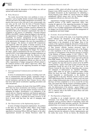

acknowledged that the absorption of the budget was still not optimal and needed improvement.

#### *B. Policy Resources*

The results showed that there were problems in terms of resources. Lack of quality human resources both management officials and staff in the budget management environment. The practice that occurs in the work unit is only certain people who can carry out the work from the form of Payment Request Letter (SPP) until the issuance of the Request for Payment Letter. The lack of quality of human resources influences the understanding of the implementers of financial management regulations that govern document requirements that must be completed in the process of submitting a Payment Request (SPM) to the KPPN. Another thing that appears is the basis for the appointment of budget management officials who are still trustworthy. In practice, management of state finances is considered to be sacred, so that the trust factor is a top priority in the appointment of managers who carry the responsibility of budget managers. The absence of selected HR competencies will negatively affect the quality of human resources in the budget management environment and on budget realization. The dominance of certain budget management positions will affect the strategy in implementing the budget. For example, the satker, which is dominated by the role of a treasurer who is trusted by KPA, from budget planning to budget realization can only be done by the treasurer, while the functions of other budget management officials. so that in the realization of the budget must wait for instructions from the treasurer. Another thing is that budget management officials are often not in the office. Appointment of budget management officials related to the technical position of the satker's supervisory office, thus causing the approval of the supporting documents for budget realization.

#### *C. Interorganizational Communication and Enforcement Activities*

In terms of communication in groups, everything went well, but in communication between groups, researchers found a lack of communication and coordination. All informants from several institutions said that the State Treasury Service office had never held special socialization regarding procedures and rules and policies.

However, according to the head of the Garut KPPN, during 2018 there has been socialization and training in numbers to improve the ability of one-man human resources involved in managing the budget. Socialization is an explanation of the current and new financial regulations and financial application training that supports the government's financial accounting system. This training is intended for human resources at the level of work units that have the task of managing state finances.

#### *D. The Characteristics of the Implementing Agencies*

In terms of budget management implementers, the problem is that there are still structural office effects versus budget management functions. For example, Human Resources appointed as Examining Officers Bills and Signers in the satker organizational structure are Human Resources under the

treasurer or PPK, which will affect the quality of the Payment Request Letter (SPM) issued by the work unit. Many errors / incomplete documents on the requirements for submitting a Paying Request Letter (SPM) are caused because the budget management official cannot carry out his function. Budget management officials are often not in the office.

Appointment of budget management officials related to the technical position of the satker's supervisory office, thus causing the approval of the supporting documents for budget realization. The level of concern of Budget User Authorities (KPA) is low on budget management responsibilities. Concern for Budget User Proxies (KPA) determines the management of an appropriate and timely budget.

#### *E. Economic, Social and Political Condition*

Based on the results of the study, it was found that political factors influence the absorption of the budget. Since the emergence of various rules governing there has been an improvement in the absorption of the budget. Most of the contents of the regulation include the allocation of funds for the Budget Implementation List (DIPA), the role of responsibilities of state treasury officials, business processes, types of document formats, in the implementation cycle of the Budget. In some regulations it has set the norm for time in budget execution as in Regulation of the Director General of Treasury of the Ministry of Finance number 12 2017. PER-12 / PB / 2017 contains Guidelines for Implementation of State Revenue and Expenditure at the End of 2017 Fiscal Year and is derived from PMK Number 186 / PMK.05 / 2017. PER-12 / PB / 2017 is compiled as a technical guide from the PMK. PER-12 / PB / 2017 regulates the steps that must be carried out by the KPPN and the ministry / agency work units in state revenues and state expenditures facing the end of the 2017 fiscal year. In the Director General the time limits for depositing state revenues and settlement of disbursement are stipulated. Ministry / agency DIPA funds for all types of payment orders (SPM) before the fiscal year ends. This Perdirjen specializes in the period September to mid-December as the deadline for completing bills to the state. With the division of time to settle DIPA disbursement bills, the ministry / agency work unit must make a budget disbursement plan in those months for activities that have not been completed so as not to exceed the set time limit. This means that with the issuance of Perdirjen number 12 of 2017 which sets the deadline for settlement of bills to the state, the disbursement of the ministry / agency budget is not focused on December alone so that the workload in December 2017 is reduced, both at the KPPN as paid offices and units ministry / agency work.

#### *F. The Disposition of Implementor*

According to an in-depth interview with one of the informants, even though there were no special competency standards, such as executive officers of specialists, nurses and officials at the BPJS center had done a good job. The informant admitted there is no incentive to implement the program.

According to the six factors observed in the Van Horn and Van Meter implementation policy model, there are still obstacles between the indicators of policy implementation and the reality that occurs. Of the six factors, the obstacles that